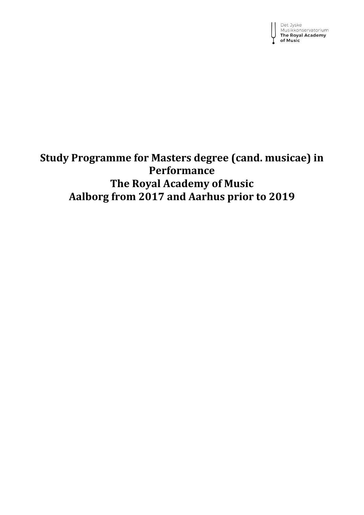Det Jyske<br>Musikkonservatorium<br>**The Royal Academy** of Music

# **Study Programme for Masters degree (cand. musicae) in Performance The Royal Academy of Music Aalborg from 2017 and Aarhus prior to 2019**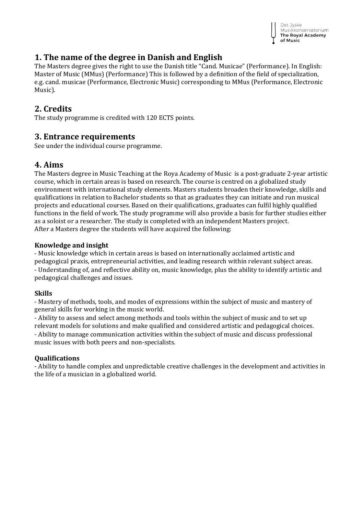

## **1. The name of the degree in Danish and English**

The Masters degree gives the right to use the Danish title "Cand. Musicae" (Performance). In English: Master of Music (MMus) (Performance) This is followed by a definition of the field of specialization, e.g. cand. musicae (Performance, Electronic Music) corresponding to MMus (Performance, Electronic Music).

## **2. Credits**

The study programme is credited with 120 ECTS points.

### **3. Entrance requirements**

See under the individual course programme.

## **4. Aims**

The Masters degree in Music Teaching at the Roya Academy of Music is a post-graduate 2-year artistic course, which in certain areas is based on research. The course is centred on a globalized study environment with international study elements. Masters students broaden their knowledge, skills and qualifications in relation to Bachelor students so that as graduates they can initiate and run musical projects and educational courses. Based on their qualifications, graduates can fulfil highly qualified functions in the field of work. The study programme will also provide a basis for further studies either as a soloist or a researcher. The study is completed with an independent Masters project. After a Masters degree the students will have acquired the following:

### **Knowledge and insight**

- Music knowledge which in certain areas is based on internationally acclaimed artistic and pedagogical praxis, entrepreneurial activities, and leading research within relevant subject areas. - Understanding of, and reflective ability on, music knowledge, plus the ability to identify artistic and pedagogical challenges and issues.

### **Skills**

- Mastery of methods, tools, and modes of expressions within the subject of music and mastery of general skills for working in the music world.

- Ability to assess and select among methods and tools within the subject of music and to set up relevant models for solutions and make qualified and considered artistic and pedagogical choices. - Ability to manage communication activities within the subject of music and discuss professional music issues with both peers and non-specialists.

### **Qualifications**

- Ability to handle complex and unpredictable creative challenges in the development and activities in the life of a musician in a globalized world.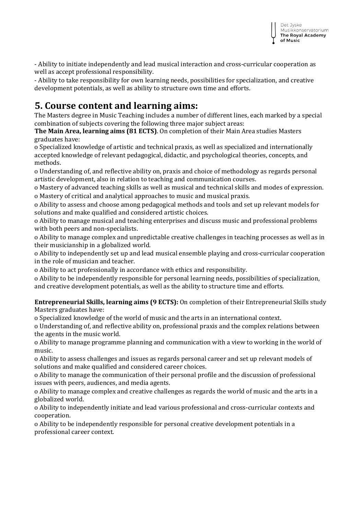- Ability to initiate independently and lead musical interaction and cross-curricular cooperation as well as accept professional responsibility.

- Ability to take responsibility for own learning needs, possibilities for specialization, and creative development potentials, as well as ability to structure own time and efforts.

## **5. Course content and learning aims:**

The Masters degree in Music Teaching includes a number of different lines, each marked by a special combination of subjects covering the following three major subject areas:

**The Main Area, learning aims (81 ECTS)**. On completion of their Main Area studies Masters graduates have:

o Specialized knowledge of artistic and technical praxis, as well as specialized and internationally accepted knowledge of relevant pedagogical, didactic, and psychological theories, concepts, and methods.

o Understanding of, and reflective ability on, praxis and choice of methodology as regards personal artistic development, also in relation to teaching and communication courses.

o Mastery of advanced teaching skills as well as musical and technical skills and modes of expression. o Mastery of critical and analytical approaches to music and musical praxis.

o Ability to assess and choose among pedagogical methods and tools and set up relevant models for solutions and make qualified and considered artistic choices.

o Ability to manage musical and teaching enterprises and discuss music and professional problems with both peers and non-specialists.

o Ability to manage complex and unpredictable creative challenges in teaching processes as well as in their musicianship in a globalized world.

o Ability to independently set up and lead musical ensemble playing and cross-curricular cooperation in the role of musician and teacher.

o Ability to act professionally in accordance with ethics and responsibility.

o Ability to be independently responsible for personal learning needs, possibilities of specialization, and creative development potentials, as well as the ability to structure time and efforts.

**Entrepreneurial Skills, learning aims (9 ECTS):** On completion of their Entrepreneurial Skills study Masters graduates have:

o Specialized knowledge of the world of music and the arts in an international context.

o Understanding of, and reflective ability on, professional praxis and the complex relations between the agents in the music world.

o Ability to manage programme planning and communication with a view to working in the world of music.

o Ability to assess challenges and issues as regards personal career and set up relevant models of solutions and make qualified and considered career choices.

o Ability to manage the communication of their personal profile and the discussion of professional issues with peers, audiences, and media agents.

o Ability to manage complex and creative challenges as regards the world of music and the arts in a globalized world.

o Ability to independently initiate and lead various professional and cross-curricular contexts and cooperation.

o Ability to be independently responsible for personal creative development potentials in a professional career context.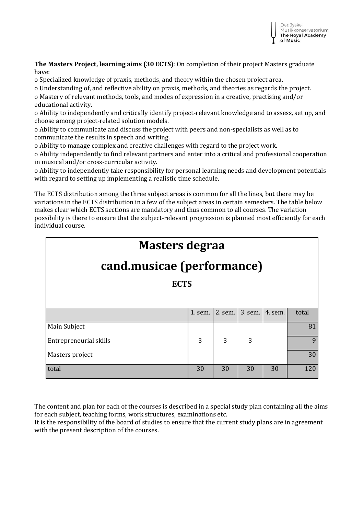

**The Masters Project, learning aims (30 ECTS**): On completion of their project Masters graduate have:

o Specialized knowledge of praxis, methods, and theory within the chosen project area.

o Understanding of, and reflective ability on praxis, methods, and theories as regards the project.

o Mastery of relevant methods, tools, and modes of expression in a creative, practising and/or educational activity.

o Ability to independently and critically identify project-relevant knowledge and to assess, set up, and choose among project-related solution models.

o Ability to communicate and discuss the project with peers and non-specialists as well as to communicate the results in speech and writing.

o Ability to manage complex and creative challenges with regard to the project work.

o Ability independently to find relevant partners and enter into a critical and professional cooperation in musical and/or cross-curricular activity.

o Ability to independently take responsibility for personal learning needs and development potentials with regard to setting up implementing a realistic time schedule.

The ECTS distribution among the three subject areas is common for all the lines, but there may be variations in the ECTS distribution in a few of the subject areas in certain semesters. The table below makes clear which ECTS sections are mandatory and thus common to all courses. The variation possibility is there to ensure that the subject-relevant progression is planned most efficiently for each individual course.

| <b>Masters degraa</b> |  |                                         |  |  |  |
|-----------------------|--|-----------------------------------------|--|--|--|
|                       |  | $\mathbf{r}$ d mude a from $\mathbf{r}$ |  |  |  |

# **cand.musicae (performance)**

**ECTS**

|                        | $1.$ sem. | 2. sem. | 3. sem. | 4. sem. | total |
|------------------------|-----------|---------|---------|---------|-------|
| Main Subject           |           |         |         |         |       |
| Entrepreneurial skills | 3         | 3       | 3       |         | 9     |
| Masters project        |           |         |         |         | 30    |
| total                  | 30        | 30      | 30      | 30      | 120   |

The content and plan for each of the courses is described in a special study plan containing all the aims for each subject, teaching forms, work structures, examinations etc.

It is the responsibility of the board of studies to ensure that the current study plans are in agreement with the present description of the courses.